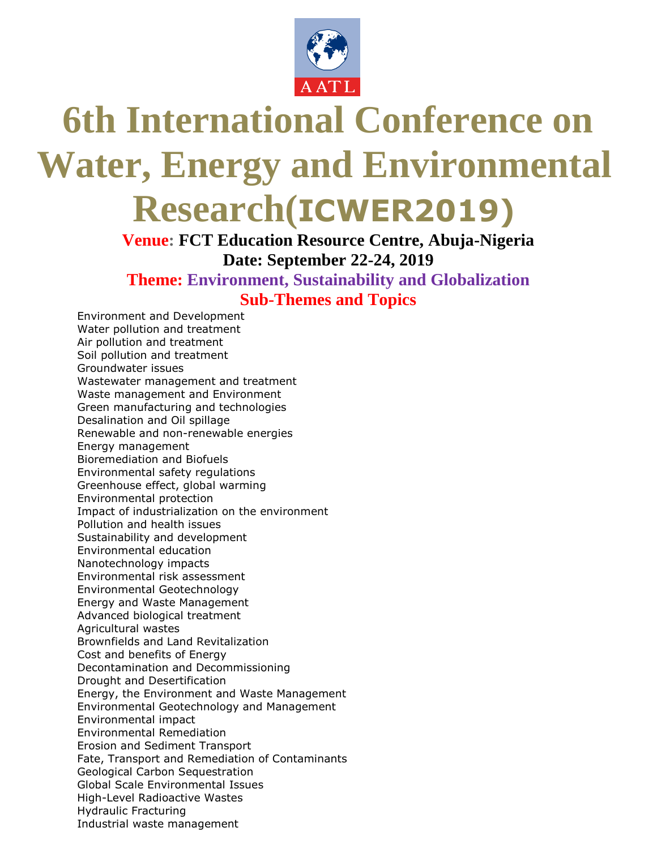

# **6th International Conference on Water, Energy and Environmental Research(ICWER2019)**

## **Venue: FCT Education Resource Centre, Abuja-Nigeria Date: September 22-24, 2019 Theme: Environment, Sustainability and Globalization Sub-Themes and Topics**

Environment and Development Water pollution and treatment Air pollution and treatment Soil pollution and treatment Groundwater issues Wastewater management and treatment Waste management and Environment Green manufacturing and technologies Desalination and Oil spillage Renewable and non-renewable energies Energy management Bioremediation and Biofuels Environmental safety regulations Greenhouse effect, global warming Environmental protection Impact of industrialization on the environment Pollution and health issues Sustainability and development Environmental education Nanotechnology impacts Environmental risk assessment Environmental Geotechnology Energy and Waste Management Advanced biological treatment Agricultural wastes Brownfields and Land Revitalization Cost and benefits of Energy Decontamination and Decommissioning Drought and Desertification Energy, the Environment and Waste Management Environmental Geotechnology and Management Environmental impact Environmental Remediation Erosion and Sediment Transport Fate, Transport and Remediation of Contaminants Geological Carbon Sequestration Global Scale Environmental Issues High-Level Radioactive Wastes Hydraulic Fracturing Industrial waste management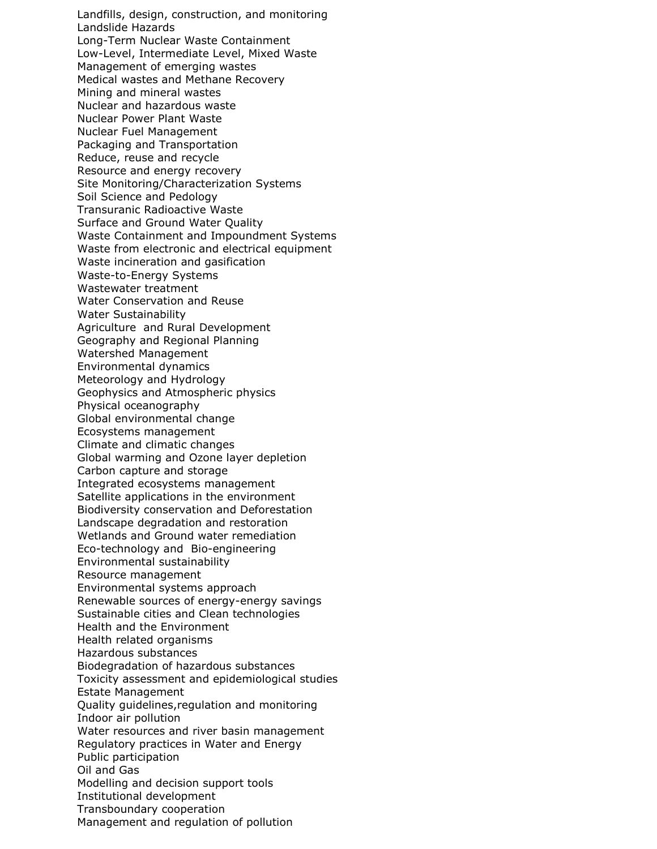Landfills, design, construction, and monitoring Landslide Hazards Long-Term Nuclear Waste Containment Low-Level, Intermediate Level, Mixed Waste Management of emerging wastes Medical wastes and Methane Recovery Mining and mineral wastes Nuclear and hazardous waste Nuclear Power Plant Waste Nuclear Fuel Management Packaging and Transportation Reduce, reuse and recycle Resource and energy recovery Site Monitoring/Characterization Systems Soil Science and Pedology Transuranic Radioactive Waste Surface and Ground Water Quality Waste Containment and Impoundment Systems Waste from electronic and electrical equipment Waste incineration and gasification Waste-to-Energy Systems Wastewater treatment Water Conservation and Reuse Water Sustainability Agriculture and Rural Development Geography and Regional Planning Watershed Management Environmental dynamics Meteorology and Hydrology Geophysics and Atmospheric physics Physical oceanography Global environmental change Ecosystems management Climate and climatic changes Global warming and Ozone layer depletion Carbon capture and storage Integrated ecosystems management Satellite applications in the environment Biodiversity conservation and Deforestation Landscape degradation and restoration Wetlands and Ground water remediation Eco-technology and Bio-engineering Environmental sustainability Resource management Environmental systems approach Renewable sources of energy-energy savings Sustainable cities and Clean technologies Health and the Environment Health related organisms Hazardous substances Biodegradation of hazardous substances Toxicity assessment and epidemiological studies Estate Management Quality guidelines,regulation and monitoring Indoor air pollution Water resources and river basin management Regulatory practices in Water and Energy Public participation Oil and Gas Modelling and decision support tools Institutional development Transboundary cooperation Management and regulation of pollution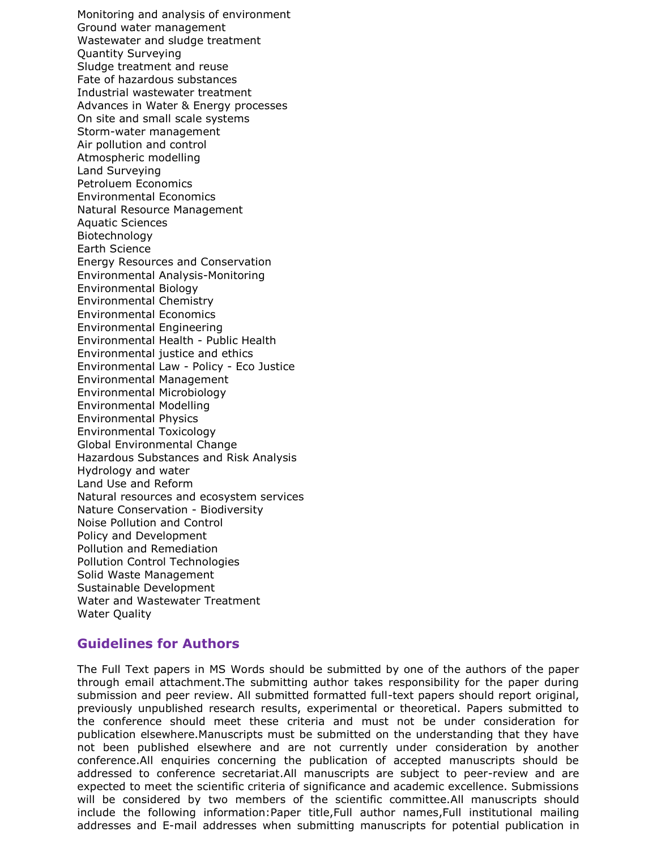Monitoring and analysis of environment Ground water management Wastewater and sludge treatment Quantity Surveying Sludge treatment and reuse Fate of hazardous substances Industrial wastewater treatment Advances in Water & Energy processes On site and small scale systems Storm-water management Air pollution and control Atmospheric modelling Land Surveying Petroluem Economics Environmental Economics Natural Resource Management Aquatic Sciences Biotechnology Earth Science Energy Resources and Conservation Environmental Analysis-Monitoring Environmental Biology Environmental Chemistry Environmental Economics Environmental Engineering Environmental Health - Public Health Environmental justice and ethics Environmental Law - Policy - Eco Justice Environmental Management Environmental Microbiology Environmental Modelling Environmental Physics Environmental Toxicology Global Environmental Change Hazardous Substances and Risk Analysis Hydrology and water Land Use and Reform Natural resources and ecosystem services Nature Conservation - Biodiversity Noise Pollution and Control Policy and Development Pollution and Remediation Pollution Control Technologies Solid Waste Management Sustainable Development Water and Wastewater Treatment Water Quality

### **Guidelines for Authors**

The Full Text papers in MS Words should be submitted by one of the authors of the paper through email attachment.The submitting author takes responsibility for the paper during submission and peer review. All submitted formatted full-text papers should report original, previously unpublished research results, experimental or theoretical. Papers submitted to the conference should meet these criteria and must not be under consideration for publication elsewhere.Manuscripts must be submitted on the understanding that they have not been published elsewhere and are not currently under consideration by another conference.All enquiries concerning the publication of accepted manuscripts should be addressed to conference secretariat.All manuscripts are subject to peer-review and are expected to meet the scientific criteria of significance and academic excellence. Submissions will be considered by two members of the scientific committee.All manuscripts should include the following information:Paper title,Full author names,Full institutional mailing addresses and E-mail addresses when submitting manuscripts for potential publication in